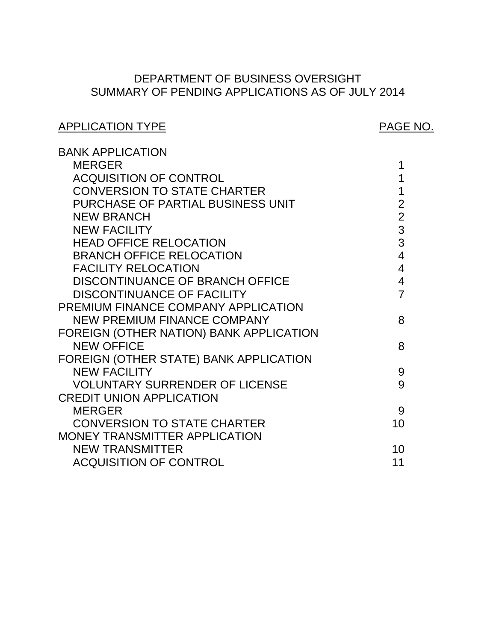# SUMMARY OF PENDING APPLICATIONS AS OF JULY 2014 DEPARTMENT OF BUSINESS OVERSIGHT

# APPLICATION TYPE APPLICATION TYPE

| <b>BANK APPLICATION</b>                 |                |
|-----------------------------------------|----------------|
| <b>MERGER</b>                           | 1              |
| <b>ACQUISITION OF CONTROL</b>           | 1              |
| <b>CONVERSION TO STATE CHARTER</b>      | 1              |
| PURCHASE OF PARTIAL BUSINESS UNIT       | $\overline{2}$ |
| <b>NEW BRANCH</b>                       | $\overline{2}$ |
| <b>NEW FACILITY</b>                     | 3              |
| <b>HEAD OFFICE RELOCATION</b>           | 3              |
| <b>BRANCH OFFICE RELOCATION</b>         | $\overline{4}$ |
| <b>FACILITY RELOCATION</b>              | $\overline{4}$ |
| DISCONTINUANCE OF BRANCH OFFICE         | $\overline{4}$ |
| <b>DISCONTINUANCE OF FACILITY</b>       | $\overline{7}$ |
| PREMIUM FINANCE COMPANY APPLICATION     |                |
| NEW PREMIUM FINANCE COMPANY             | 8              |
| FOREIGN (OTHER NATION) BANK APPLICATION |                |
| <b>NEW OFFICE</b>                       | 8              |
| FOREIGN (OTHER STATE) BANK APPLICATION  |                |
| <b>NEW FACILITY</b>                     | 9              |
| <b>VOLUNTARY SURRENDER OF LICENSE</b>   | 9              |
| <b>CREDIT UNION APPLICATION</b>         |                |
| <b>MERGER</b>                           | 9              |
| <b>CONVERSION TO STATE CHARTER</b>      | 10             |
| <b>MONEY TRANSMITTER APPLICATION</b>    |                |
| <b>NEW TRANSMITTER</b>                  | 10             |
| <b>ACQUISITION OF CONTROL</b>           | 11             |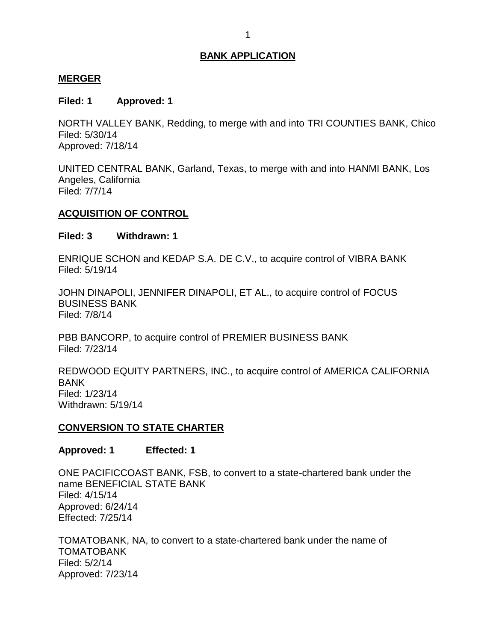#### <span id="page-1-0"></span>**MERGER**

#### **Filed: 1 Approved: 1**

 NORTH VALLEY BANK, Redding, to merge with and into TRI COUNTIES BANK, Chico Filed: 5/30/14 Approved: 7/18/14

 UNITED CENTRAL BANK, Garland, Texas, to merge with and into HANMI BANK, Los Angeles, California Filed: 7/7/14

#### **ACQUISITION OF CONTROL**

#### **Filed: 3 Withdrawn: 1**

 ENRIQUE SCHON and KEDAP S.A. DE C.V., to acquire control of VIBRA BANK Filed: 5/19/14

 JOHN DINAPOLI, JENNIFER DINAPOLI, ET AL., to acquire control of FOCUS BUSINESS BANK Filed: 7/8/14

 PBB BANCORP, to acquire control of PREMIER BUSINESS BANK Filed: 7/23/14

 REDWOOD EQUITY PARTNERS, INC., to acquire control of AMERICA CALIFORNIA BANK Filed: 1/23/14 Withdrawn: 5/19/14

#### **CONVERSION TO STATE CHARTER**

**Approved: 1 Effected: 1** 

 ONE PACIFICCOAST BANK, FSB, to convert to a state-chartered bank under the name BENEFICIAL STATE BANK Filed: 4/15/14 Approved: 6/24/14 Effected: 7/25/14

 TOMATOBANK, NA, to convert to a state-chartered bank under the name of TOMATOBANK Filed: 5/2/14 Approved: 7/23/14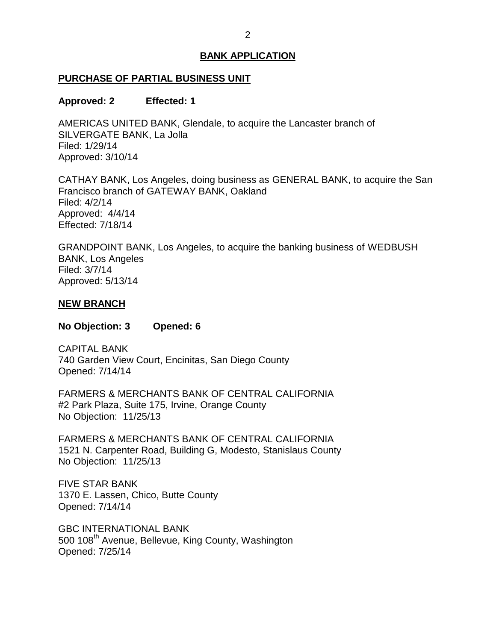#### <span id="page-2-0"></span>**PURCHASE OF PARTIAL BUSINESS UNIT**

#### **Approved: 2 Effected: 1**

 AMERICAS UNITED BANK, Glendale, to acquire the Lancaster branch of SILVERGATE BANK, La Jolla Filed: 1/29/14 Approved: 3/10/14

 CATHAY BANK, Los Angeles, doing business as GENERAL BANK, to acquire the San Francisco branch of GATEWAY BANK, Oakland Approved: 4/4/14 Filed: 4/2/14 Effected: 7/18/14

 GRANDPOINT BANK, Los Angeles, to acquire the banking business of WEDBUSH BANK, Los Angeles Filed: 3/7/14 Approved: 5/13/14

#### **NEW BRANCH**

**No Objection: 3 Opened: 6** 

 740 Garden View Court, Encinitas, San Diego County CAPITAL BANK Opened: 7/14/14

 FARMERS & MERCHANTS BANK OF CENTRAL CALIFORNIA #2 Park Plaza, Suite 175, Irvine, Orange County No Objection: 11/25/13

 FARMERS & MERCHANTS BANK OF CENTRAL CALIFORNIA 1521 N. Carpenter Road, Building G, Modesto, Stanislaus County No Objection: 11/25/13

 1370 E. Lassen, Chico, Butte County FIVE STAR BANK Opened: 7/14/14

500 108<sup>th</sup> Avenue, Bellevue, King County, Washington GBC INTERNATIONAL BANK Opened: 7/25/14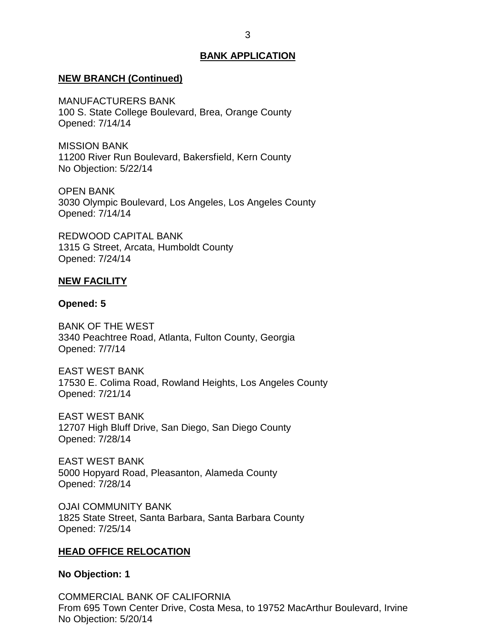#### <span id="page-3-0"></span>**NEW BRANCH (Continued)**

MANUFACTURERS BANK

 100 S. State College Boulevard, Brea, Orange County Opened: 7/14/14

 11200 River Run Boulevard, Bakersfield, Kern County No Objection: 5/22/14 MISSION BANK

OPEN BANK 3030 Olympic Boulevard, Los Angeles, Los Angeles County Opened: 7/14/14

 1315 G Street, Arcata, Humboldt County REDWOOD CAPITAL BANK Opened: 7/24/14

#### **NEW FACILITY**

#### **Opened: 5**

 BANK OF THE WEST 3340 Peachtree Road, Atlanta, Fulton County, Georgia Opened: 7/7/14

 EAST WEST BANK 17530 E. Colima Road, Rowland Heights, Los Angeles County Opened: 7/21/14

 EAST WEST BANK 12707 High Bluff Drive, San Diego, San Diego County Opened: 7/28/14

 EAST WEST BANK 5000 Hopyard Road, Pleasanton, Alameda County Opened: 7/28/14

 1825 State Street, Santa Barbara, Santa Barbara County OJAI COMMUNITY BANK Opened: 7/25/14

#### **HEAD OFFICE RELOCATION**

#### **No Objection: 1**

 COMMERCIAL BANK OF CALIFORNIA From 695 Town Center Drive, Costa Mesa, to 19752 MacArthur Boulevard, Irvine No Objection: 5/20/14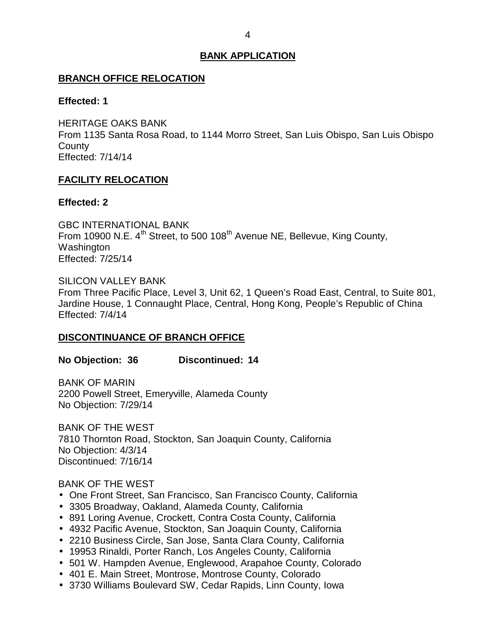#### <span id="page-4-0"></span>**BRANCH OFFICE RELOCATION**

#### **Effected: 1**

 HERITAGE OAKS BANK From 1135 Santa Rosa Road, to 1144 Morro Street, San Luis Obispo, San Luis Obispo **County** Effected: 7/14/14

#### **FACILITY RELOCATION**

#### **Effected: 2**

From 10900 N.E. 4<sup>th</sup> Street, to 500 108<sup>th</sup> Avenue NE, Bellevue, King County, GBC INTERNATIONAL BANK Washington Effected: 7/25/14

#### SILICON VALLEY BANK

 From Three Pacific Place, Level 3, Unit 62, 1 Queen's Road East, Central, to Suite 801, Jardine House, 1 Connaught Place, Central, Hong Kong, People's Republic of China Effected: 7/4/14

#### **DISCONTINUANCE OF BRANCH OFFICE**

#### **No Objection: 36 Discontinued: 14**

 2200 Powell Street, Emeryville, Alameda County BANK OF MARIN No Objection: 7/29/14

 BANK OF THE WEST 7810 Thornton Road, Stockton, San Joaquin County, California No Objection: 4/3/14 Discontinued: 7/16/14

#### BANK OF THE WEST

- One Front Street, San Francisco, San Francisco County, California
- 3305 Broadway, Oakland, Alameda County, California
- 891 Loring Avenue, Crockett, Contra Costa County, California
- 4932 Pacific Avenue, Stockton, San Joaquin County, California
- 2210 Business Circle, San Jose, Santa Clara County, California
- 19953 Rinaldi, Porter Ranch, Los Angeles County, California
- 501 W. Hampden Avenue, Englewood, Arapahoe County, Colorado
- 401 E. Main Street, Montrose, Montrose County, Colorado
- 3730 Williams Boulevard SW, Cedar Rapids, Linn County, Iowa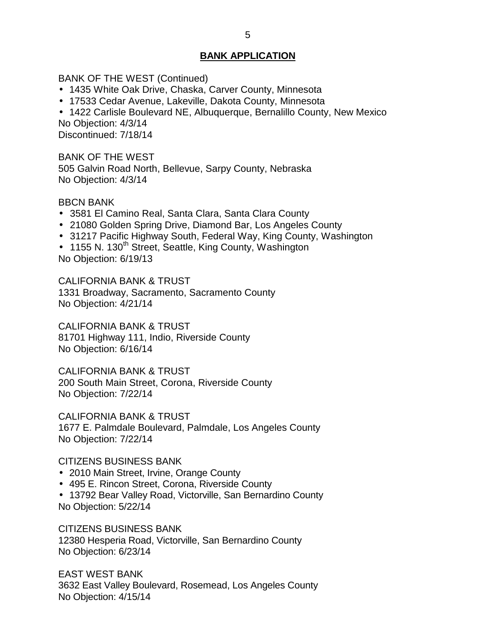BANK OF THE WEST (Continued)

- 1435 White Oak Drive, Chaska, Carver County, Minnesota
- 17533 Cedar Avenue, Lakeville, Dakota County, Minnesota
- 1422 Carlisle Boulevard NE, Albuquerque, Bernalillo County, New Mexico No Objection: 4/3/14

Discontinued: 7/18/14

 BANK OF THE WEST 505 Galvin Road North, Bellevue, Sarpy County, Nebraska No Objection: 4/3/14

BBCN BANK

- 3581 El Camino Real, Santa Clara, Santa Clara County
- 21080 Golden Spring Drive, Diamond Bar, Los Angeles County
- 31217 Pacific Highway South, Federal Way, King County, Washington
- 1155 N. 130<sup>th</sup> Street, Seattle, King County, Washington No Objection: 6/19/13

 CALIFORNIA BANK & TRUST 1331 Broadway, Sacramento, Sacramento County No Objection: 4/21/14

 CALIFORNIA BANK & TRUST 81701 Highway 111, Indio, Riverside County No Objection: 6/16/14

 CALIFORNIA BANK & TRUST 200 South Main Street, Corona, Riverside County No Objection: 7/22/14

 CALIFORNIA BANK & TRUST 1677 E. Palmdale Boulevard, Palmdale, Los Angeles County No Objection: 7/22/14

#### CITIZENS BUSINESS BANK

- 2010 Main Street, Irvine, Orange County
- 495 E. Rincon Street, Corona, Riverside County
- 13792 Bear Valley Road, Victorville, San Bernardino County No Objection: 5/22/14

CITIZENS BUSINESS BANK

 12380 Hesperia Road, Victorville, San Bernardino County No Objection: 6/23/14

 3632 East Valley Boulevard, Rosemead, Los Angeles County No Objection: 4/15/14 EAST WEST BANK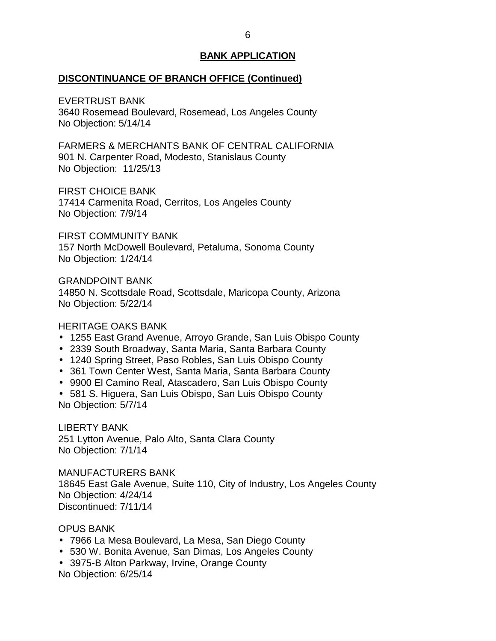#### **DISCONTINUANCE OF BRANCH OFFICE (Continued)**

EVERTRUST BANK

 3640 Rosemead Boulevard, Rosemead, Los Angeles County No Objection: 5/14/14

 FARMERS & MERCHANTS BANK OF CENTRAL CALIFORNIA 901 N. Carpenter Road, Modesto, Stanislaus County No Objection: 11/25/13

FIRST CHOICE BANK

 17414 Carmenita Road, Cerritos, Los Angeles County No Objection: 7/9/14

 157 North McDowell Boulevard, Petaluma, Sonoma County FIRST COMMUNITY BANK No Objection: 1/24/14

 14850 N. Scottsdale Road, Scottsdale, Maricopa County, Arizona No Objection: 5/22/14 GRANDPOINT BANK

#### HERITAGE OAKS BANK

- 1255 East Grand Avenue, Arroyo Grande, San Luis Obispo County
- 2339 South Broadway, Santa Maria, Santa Barbara County
- 1240 Spring Street, Paso Robles, San Luis Obispo County
- 361 Town Center West, Santa Maria, Santa Barbara County
- 9900 El Camino Real, Atascadero, San Luis Obispo County

 581 S. Higuera, San Luis Obispo, San Luis Obispo County No Objection: 5/7/14

 251 Lytton Avenue, Palo Alto, Santa Clara County No Objection: 7/1/14 LIBERTY BANK

 18645 East Gale Avenue, Suite 110, City of Industry, Los Angeles County No Objection: 4/24/14 MANUFACTURERS BANK Discontinued: 7/11/14

#### OPUS BANK

- 7966 La Mesa Boulevard, La Mesa, San Diego County
- 530 W. Bonita Avenue, San Dimas, Los Angeles County
- 3975-B Alton Parkway, Irvine, Orange County No Objection: 6/25/14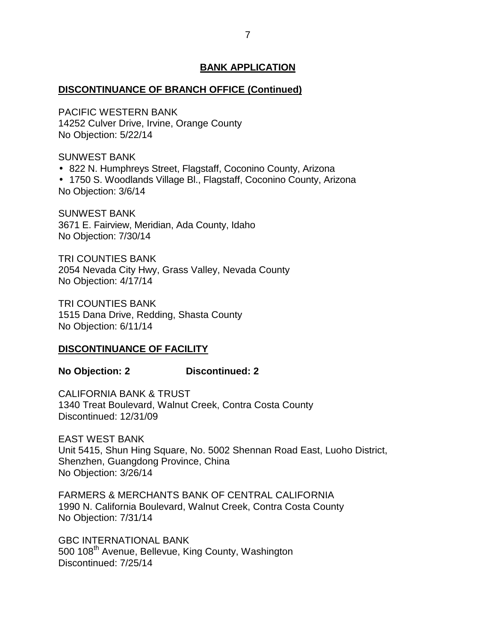#### <span id="page-7-0"></span>**DISCONTINUANCE OF BRANCH OFFICE (Continued)**

 14252 Culver Drive, Irvine, Orange County No Objection: 5/22/14 PACIFIC WESTERN BANK

SUNWEST BANK

822 N. Humphreys Street, Flagstaff, Coconino County, Arizona

 1750 S. Woodlands Village Bl., Flagstaff, Coconino County, Arizona No Objection: 3/6/14

 3671 E. Fairview, Meridian, Ada County, Idaho No Objection: 7/30/14 SUNWEST BANK

 2054 Nevada City Hwy, Grass Valley, Nevada County No Objection: 4/17/14 TRI COUNTIES BANK

 1515 Dana Drive, Redding, Shasta County No Objection: 6/11/14 TRI COUNTIES BANK

#### **DISCONTINUANCE OF FACILITY**

#### **No Objection: 2 Discontinued: 2**

 CALIFORNIA BANK & TRUST 1340 Treat Boulevard, Walnut Creek, Contra Costa County Discontinued: 12/31/09

 EAST WEST BANK Unit 5415, Shun Hing Square, No. 5002 Shennan Road East, Luoho District, Shenzhen, Guangdong Province, China No Objection: 3/26/14

 FARMERS & MERCHANTS BANK OF CENTRAL CALIFORNIA 1990 N. California Boulevard, Walnut Creek, Contra Costa County No Objection: 7/31/14

500 108<sup>th</sup> Avenue, Bellevue, King County, Washington GBC INTERNATIONAL BANK Discontinued: 7/25/14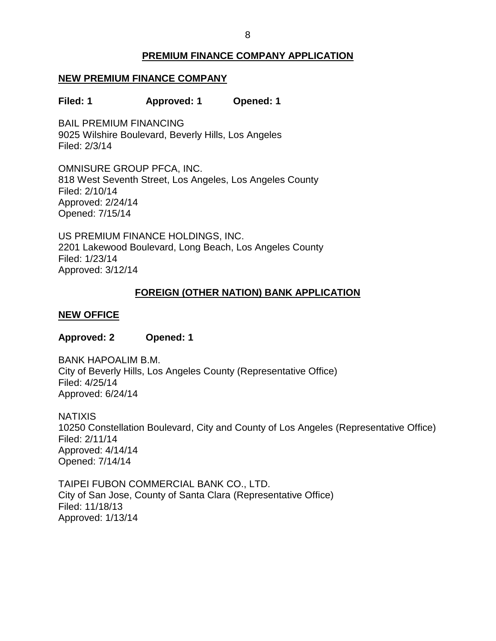## **PREMIUM FINANCE COMPANY APPLICATION**

#### <span id="page-8-0"></span> **NEW PREMIUM FINANCE COMPANY**

**Filed: 1 Approved: 1 Opened: 1** 

 BAIL PREMIUM FINANCING 9025 Wilshire Boulevard, Beverly Hills, Los Angeles Filed: 2/3/14

 OMNISURE GROUP PFCA, INC. 818 West Seventh Street, Los Angeles, Los Angeles County Filed: 2/10/14 Approved: 2/24/14 Opened: 7/15/14

 US PREMIUM FINANCE HOLDINGS, INC. 2201 Lakewood Boulevard, Long Beach, Los Angeles County Filed: 1/23/14 Approved: 3/12/14

#### **FOREIGN (OTHER NATION) BANK APPLICATION**

#### **NEW OFFICE**

#### **Approved: 2 Opened: 1**

 City of Beverly Hills, Los Angeles County (Representative Office) BANK HAPOALIM B.M. Filed: 4/25/14 Approved: 6/24/14

 10250 Constellation Boulevard, City and County of Los Angeles (Representative Office) **NATIXIS** Filed: 2/11/14 Approved: 4/14/14 Opened: 7/14/14

 TAIPEI FUBON COMMERCIAL BANK CO., LTD. City of San Jose, County of Santa Clara (Representative Office) Filed: 11/18/13 Approved: 1/13/14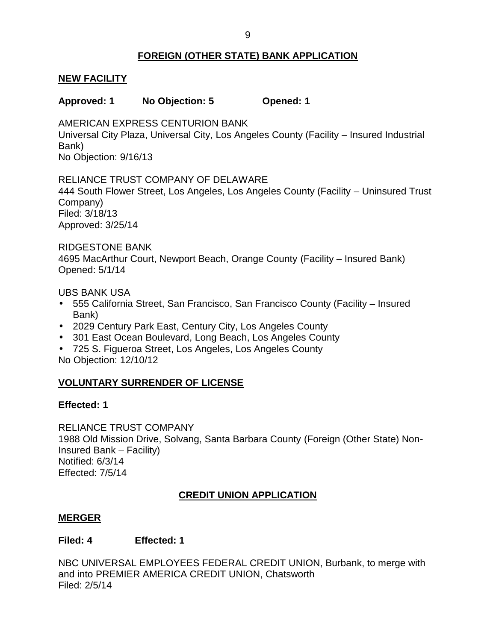### **FOREIGN (OTHER STATE) BANK APPLICATION**

#### <span id="page-9-0"></span>**NEW FACILITY**

#### **Approved: 1 No Objection: 5 Opened: 1**

 Universal City Plaza, Universal City, Los Angeles County (Facility – Insured Industrial AMERICAN EXPRESS CENTURION BANK Bank) No Objection: 9/16/13

#### RELIANCE TRUST COMPANY OF DELAWARE

 444 South Flower Street, Los Angeles, Los Angeles County (Facility – Uninsured Trust Company) Filed: 3/18/13

Approved: 3/25/14

#### RIDGESTONE BANK

 4695 MacArthur Court, Newport Beach, Orange County (Facility – Insured Bank) Opened: 5/1/14

UBS BANK USA

- 555 California Street, San Francisco, San Francisco County (Facility Insured Bank)
- 2029 Century Park East, Century City, Los Angeles County
- 301 East Ocean Boulevard, Long Beach, Los Angeles County
- 725 S. Figueroa Street, Los Angeles, Los Angeles County No Objection: 12/10/12

## **VOLUNTARY SURRENDER OF LICENSE**

#### **Effected: 1**

 RELIANCE TRUST COMPANY 1988 Old Mission Drive, Solvang, Santa Barbara County (Foreign (Other State) Non-Insured Bank – Facility) Notified: 6/3/14 Effected: 7/5/14

#### **CREDIT UNION APPLICATION**

#### **MERGER**

#### **Filed: 4 Effected: 1**

 NBC UNIVERSAL EMPLOYEES FEDERAL CREDIT UNION, Burbank, to merge with and into PREMIER AMERICA CREDIT UNION, Chatsworth Filed: 2/5/14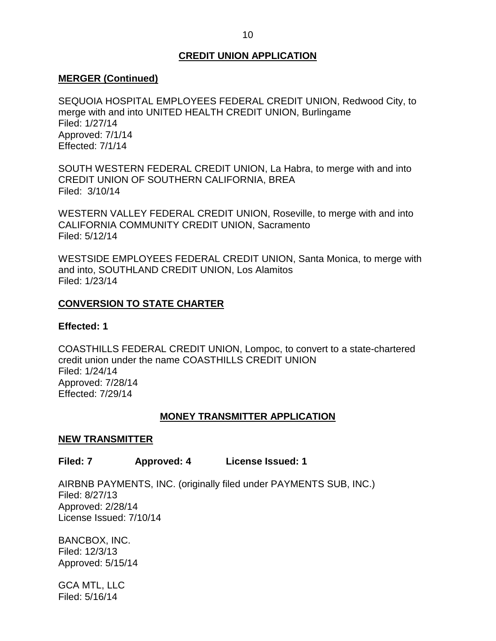#### **CREDIT UNION APPLICATION**

#### <span id="page-10-0"></span>**MERGER (Continued)**

 SEQUOIA HOSPITAL EMPLOYEES FEDERAL CREDIT UNION, Redwood City, to merge with and into UNITED HEALTH CREDIT UNION, Burlingame Filed: 1/27/14 Approved: 7/1/14 Effected: 7/1/14

 SOUTH WESTERN FEDERAL CREDIT UNION, La Habra, to merge with and into Filed: 3/10/14 CREDIT UNION OF SOUTHERN CALIFORNIA, BREA

 WESTERN VALLEY FEDERAL CREDIT UNION, Roseville, to merge with and into CALIFORNIA COMMUNITY CREDIT UNION, Sacramento Filed: 5/12/14

 WESTSIDE EMPLOYEES FEDERAL CREDIT UNION, Santa Monica, to merge with and into, SOUTHLAND CREDIT UNION, Los Alamitos Filed: 1/23/14

#### **CONVERSION TO STATE CHARTER**

#### **Effected: 1**

 COASTHILLS FEDERAL CREDIT UNION, Lompoc, to convert to a state-chartered credit union under the name COASTHILLS CREDIT UNION Filed: 1/24/14 Approved: 7/28/14 Effected: 7/29/14

#### **MONEY TRANSMITTER APPLICATION**

#### **NEW TRANSMITTER**

#### License Issued: 1 **Filed: 7** Approved: 4

 AIRBNB PAYMENTS, INC. (originally filed under PAYMENTS SUB, INC.) License Issued: 7/10/14 Filed: 8/27/13 Approved: 2/28/14

BANCBOX, INC. Filed: 12/3/13 Approved: 5/15/14

 GCA MTL, LLC Filed: 5/16/14